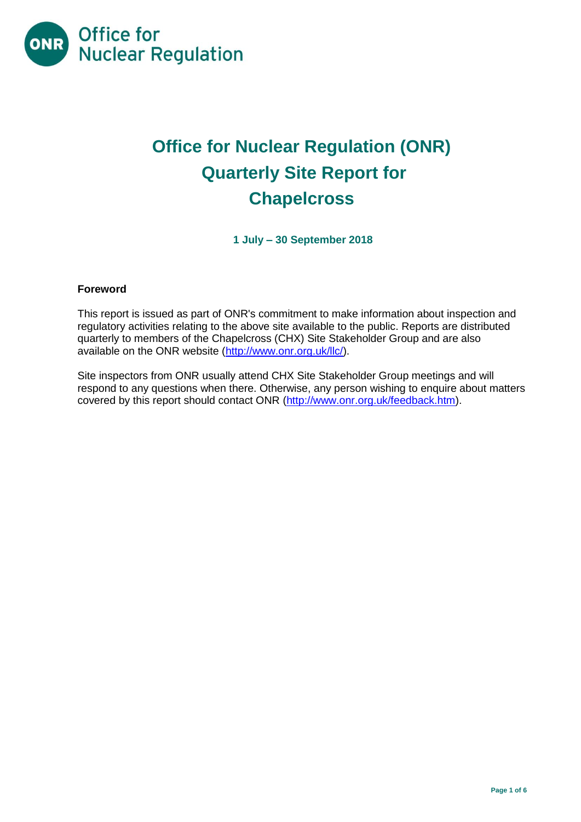

# **Office for Nuclear Regulation (ONR) Quarterly Site Report for Chapelcross**

**1 July – 30 September 2018**

# **Foreword**

This report is issued as part of ONR's commitment to make information about inspection and regulatory activities relating to the above site available to the public. Reports are distributed quarterly to members of the Chapelcross (CHX) Site Stakeholder Group and are also available on the ONR website [\(http://www.onr.org.uk/llc/\)](http://www.onr.org.uk/llc/).

Site inspectors from ONR usually attend CHX Site Stakeholder Group meetings and will respond to any questions when there. Otherwise, any person wishing to enquire about matters covered by this report should contact ONR [\(http://www.onr.org.uk/feedback.htm\)](http://www.onr.org.uk/feedback.htm).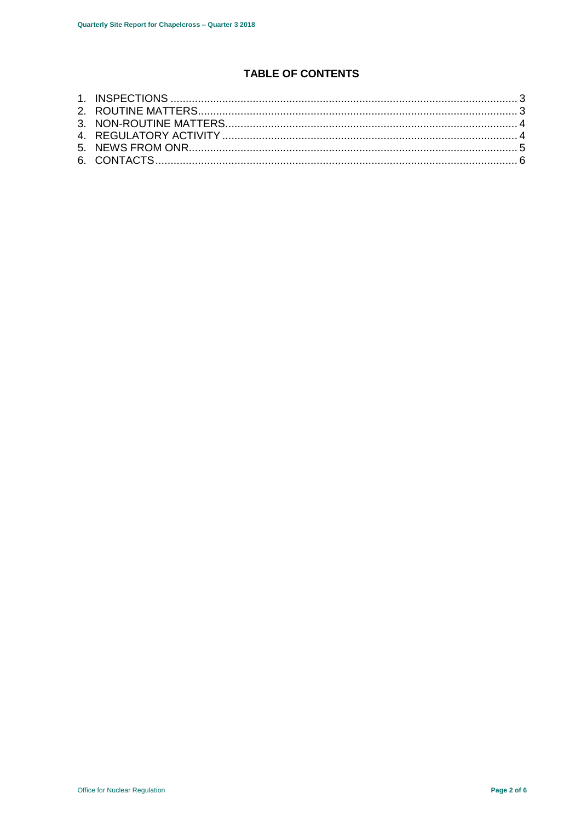# **TABLE OF CONTENTS**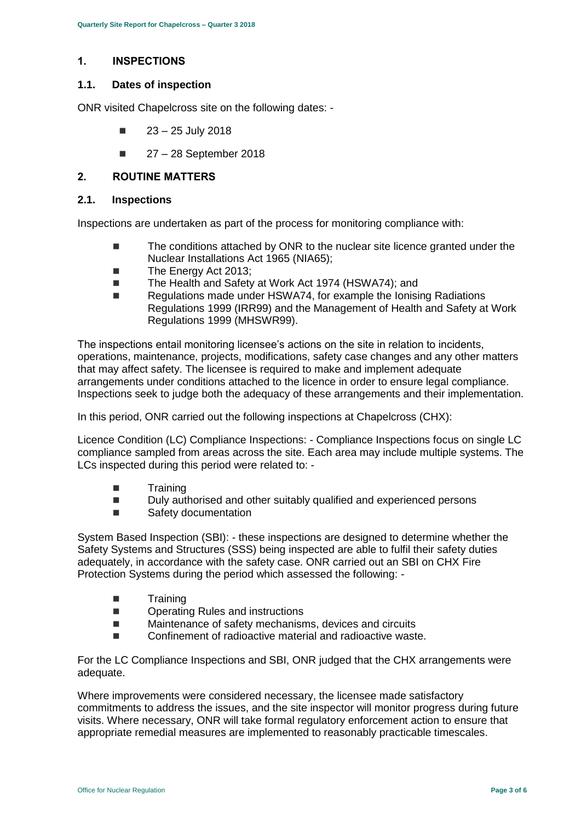# <span id="page-2-0"></span>**1. INSPECTIONS**

#### **1.1. Dates of inspection**

ONR visited Chapelcross site on the following dates: -

- $\blacksquare$  23 25 July 2018
- $27 28$  September 2018

# <span id="page-2-1"></span>**2. ROUTINE MATTERS**

#### **2.1. Inspections**

Inspections are undertaken as part of the process for monitoring compliance with:

- The conditions attached by ONR to the nuclear site licence granted under the Nuclear Installations Act 1965 (NIA65);
- The Energy Act 2013:
- The Health and Safety at Work Act 1974 (HSWA74); and
- Regulations made under HSWA74, for example the Ionising Radiations Regulations 1999 (IRR99) and the Management of Health and Safety at Work Regulations 1999 (MHSWR99).

The inspections entail monitoring licensee's actions on the site in relation to incidents, operations, maintenance, projects, modifications, safety case changes and any other matters that may affect safety. The licensee is required to make and implement adequate arrangements under conditions attached to the licence in order to ensure legal compliance. Inspections seek to judge both the adequacy of these arrangements and their implementation.

In this period, ONR carried out the following inspections at Chapelcross (CHX):

Licence Condition (LC) Compliance Inspections: - Compliance Inspections focus on single LC compliance sampled from areas across the site. Each area may include multiple systems. The LCs inspected during this period were related to: -

- Training
- Duly authorised and other suitably qualified and experienced persons
- Safety documentation

System Based Inspection (SBI): - these inspections are designed to determine whether the Safety Systems and Structures (SSS) being inspected are able to fulfil their safety duties adequately, in accordance with the safety case. ONR carried out an SBI on CHX Fire Protection Systems during the period which assessed the following: -

- Training
- Operating Rules and instructions
- Maintenance of safety mechanisms, devices and circuits
- Confinement of radioactive material and radioactive waste.

For the LC Compliance Inspections and SBI, ONR judged that the CHX arrangements were adequate.

Where improvements were considered necessary, the licensee made satisfactory commitments to address the issues, and the site inspector will monitor progress during future visits. Where necessary, ONR will take formal regulatory enforcement action to ensure that appropriate remedial measures are implemented to reasonably practicable timescales.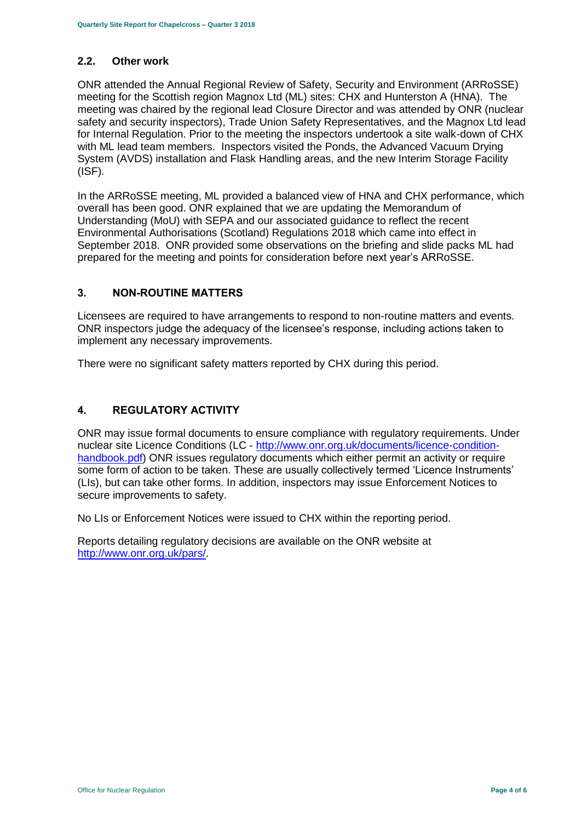#### **2.2. Other work**

ONR attended the Annual Regional Review of Safety, Security and Environment (ARRoSSE) meeting for the Scottish region Magnox Ltd (ML) sites: CHX and Hunterston A (HNA). The meeting was chaired by the regional lead Closure Director and was attended by ONR (nuclear safety and security inspectors), Trade Union Safety Representatives, and the Magnox Ltd lead for Internal Regulation. Prior to the meeting the inspectors undertook a site walk-down of CHX with ML lead team members. Inspectors visited the Ponds, the Advanced Vacuum Drying System (AVDS) installation and Flask Handling areas, and the new Interim Storage Facility (ISF).

In the ARRoSSE meeting, ML provided a balanced view of HNA and CHX performance, which overall has been good. ONR explained that we are updating the Memorandum of Understanding (MoU) with SEPA and our associated guidance to reflect the recent Environmental Authorisations (Scotland) Regulations 2018 which came into effect in September 2018. ONR provided some observations on the briefing and slide packs ML had prepared for the meeting and points for consideration before next year's ARRoSSE.

#### <span id="page-3-0"></span>**3. NON-ROUTINE MATTERS**

Licensees are required to have arrangements to respond to non-routine matters and events. ONR inspectors judge the adequacy of the licensee's response, including actions taken to implement any necessary improvements.

There were no significant safety matters reported by CHX during this period.

# <span id="page-3-1"></span>**4. REGULATORY ACTIVITY**

ONR may issue formal documents to ensure compliance with regulatory requirements. Under nuclear site Licence Conditions (LC - [http://www.onr.org.uk/documents/licence-condition](http://www.onr.org.uk/documents/licence-condition-handbook.pdf)[handbook.pdf\)](http://www.onr.org.uk/documents/licence-condition-handbook.pdf) ONR issues regulatory documents which either permit an activity or require some form of action to be taken. These are usually collectively termed 'Licence Instruments' (LIs), but can take other forms. In addition, inspectors may issue Enforcement Notices to secure improvements to safety.

No LIs or Enforcement Notices were issued to CHX within the reporting period.

Reports detailing regulatory decisions are available on the ONR website at [http://www.onr.org.uk/pars/.](http://www.onr.org.uk/pars/)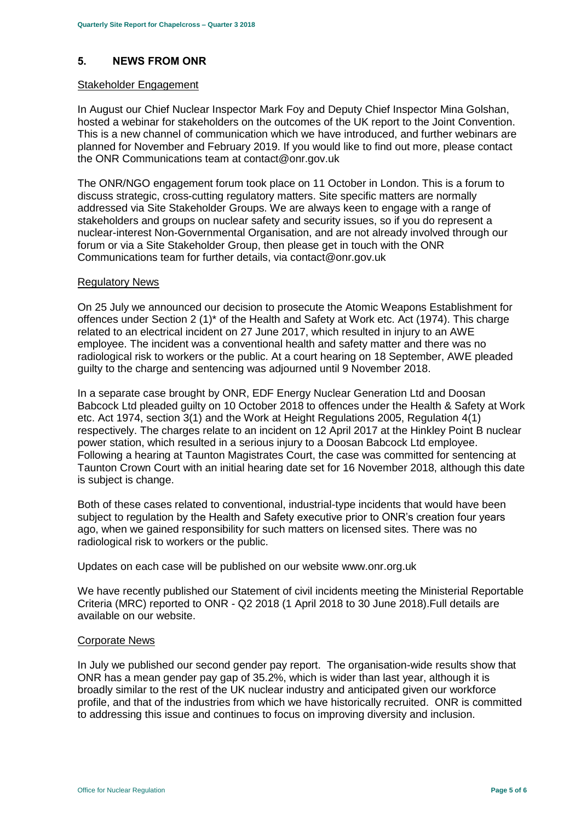# <span id="page-4-0"></span>**5. NEWS FROM ONR**

#### Stakeholder Engagement

In August our Chief Nuclear Inspector Mark Foy and Deputy Chief Inspector Mina Golshan, hosted a webinar for stakeholders on the outcomes of the UK report to the Joint Convention. This is a new channel of communication which we have introduced, and further webinars are planned for November and February 2019. If you would like to find out more, please contact the ONR Communications team at contact@onr.gov.uk

The ONR/NGO engagement forum took place on 11 October in London. This is a forum to discuss strategic, cross-cutting regulatory matters. Site specific matters are normally addressed via Site Stakeholder Groups. We are always keen to engage with a range of stakeholders and groups on nuclear safety and security issues, so if you do represent a nuclear-interest Non-Governmental Organisation, and are not already involved through our forum or via a Site Stakeholder Group, then please get in touch with the ONR Communications team for further details, via contact@onr.gov.uk

#### Regulatory News

On 25 July we announced our decision to prosecute the Atomic Weapons Establishment for offences under Section 2 (1)\* of the Health and Safety at Work etc. Act (1974). This charge related to an electrical incident on 27 June 2017, which resulted in injury to an AWE employee. The incident was a conventional health and safety matter and there was no radiological risk to workers or the public. At a court hearing on 18 September, AWE pleaded guilty to the charge and sentencing was adjourned until 9 November 2018.

In a separate case brought by ONR, EDF Energy Nuclear Generation Ltd and Doosan Babcock Ltd pleaded guilty on 10 October 2018 to offences under the Health & Safety at Work etc. Act 1974, section 3(1) and the Work at Height Regulations 2005, Regulation 4(1) respectively. The charges relate to an incident on 12 April 2017 at the Hinkley Point B nuclear power station, which resulted in a serious injury to a Doosan Babcock Ltd employee. Following a hearing at Taunton Magistrates Court, the case was committed for sentencing at Taunton Crown Court with an initial hearing date set for 16 November 2018, although this date is subject is change.

Both of these cases related to conventional, industrial-type incidents that would have been subject to regulation by the Health and Safety executive prior to ONR's creation four years ago, when we gained responsibility for such matters on licensed sites. There was no radiological risk to workers or the public.

Updates on each case will be published on our website www.onr.org.uk

We have recently published our Statement of civil incidents meeting the Ministerial Reportable Criteria (MRC) reported to ONR - Q2 2018 (1 April 2018 to 30 June 2018).Full details are available on our website.

#### Corporate News

In July we published our second gender pay report. The organisation-wide results show that ONR has a mean gender pay gap of 35.2%, which is wider than last year, although it is broadly similar to the rest of the UK nuclear industry and anticipated given our workforce profile, and that of the industries from which we have historically recruited. ONR is committed to addressing this issue and continues to focus on improving diversity and inclusion.